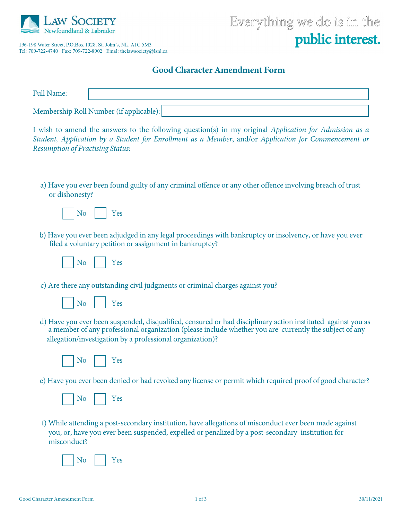

196-198 Water Street, P.O.Box 1028, St. John's, NL, A1C 5M3 

## Everything we do is in the public interest.

## **Good Character Amendment Form**

| <b>Full Name:</b> |                                         |
|-------------------|-----------------------------------------|
|                   | Membership Roll Number (if applicable): |

I wish to amend the answers to the following question(s) in my original *Application for Admission as a Student, Application by a Student for Enrollment as a Member*, and/or *Application for Commencement or Resumption of Practising Status*:

a) Have you ever been found guilty of any criminal offence or any other offence involving breach of trust or dishonesty?



b) Have you ever been adjudged in any legal proceedings with bankruptcy or insolvency, or have you ever filed a voluntary petition or assignment in bankruptcy?



c) Are there any outstanding civil judgments or criminal charges against you?



d) Have you ever been suspended, disqualified, censured or had disciplinary action instituted against you as a member of any professional organization (please include whether you are currently the subject of any allegation/investigation by a professional organization)?



e) Have you ever been denied or had revoked any license or permit which required proof of good character?

|  | u. |
|--|----|
|  |    |
|  |    |

f) While attending a post-secondary institution, have allegations of misconduct ever been made against you, or, have you ever been suspended, expelled or penalized by a post-secondary institution for misconduct?

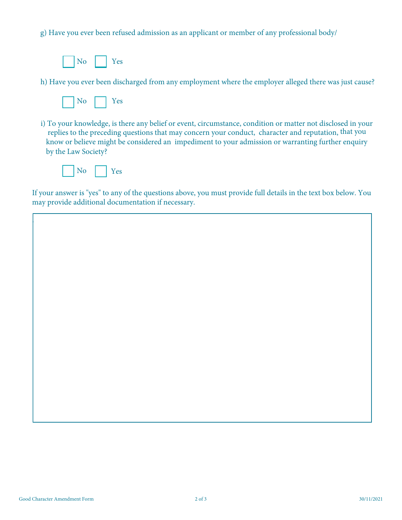g) Have you ever been refused admission as an applicant or member of any professional body/



h) Have you ever been discharged from any employment where the employer alleged there was just cause?

|--|--|--|

i) To your knowledge, is there any belief or event, circumstance, condition or matter not disclosed in your replies to the preceding questions that may concern your conduct, character and reputation, that you know or believe might be considered an impediment to your admission or warranting further enquiry by the Law Society?



.

If your answer is "yes" to any of the questions above, you must provide full details in the text box below. You may provide additional documentation if necessary.